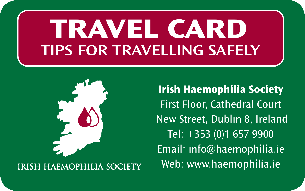# **TRAVEL CARD TIPS FOR TRAVELLING SAFELY**



**IRISH HAEMOPHILIA SOCIETY** 

**Irish Haemophilia Society** First Floor, Cathedral Court New Street, Dublin 8, Ireland Tel: +353 (0)1 657 9900 Email: info@haemophilia.ie Web: www.haemophilia.ie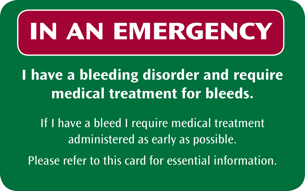# **IN AN EMERGENCY**

#### **I have a bleeding disorder and require medical treatment for bleeds.**

If I have a bleed I require medical treatment administered as early as possible.

Please refer to this card for essential information.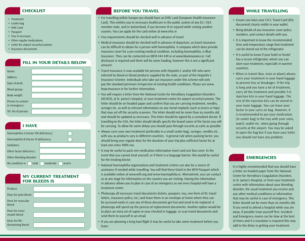## **Checklist**

- • Treatment
- Cooler bag
- • EHIC Card
- Passport
- Visa if necessary
- Other regular medications
- Letter for airport security/customs
- Insurance documents

|  |  | <b>FILL IN YOUR DETAILS BELOW</b> |  |
|--|--|-----------------------------------|--|
|--|--|-----------------------------------|--|

| Name:                              |  |
|------------------------------------|--|
| Address:                           |  |
| Date of birth:                     |  |
| Blood group:                       |  |
| Body weight:                       |  |
| Person to contact<br>in emergency: |  |
| Tel. No of person:                 |  |

# **I have**

| Haemophilia A (Factor VIII deficiency) |                           |  |  |  |
|----------------------------------------|---------------------------|--|--|--|
| Haemophilia B (Factor IX deficiency)   |                           |  |  |  |
| Inhibitors:                            |                           |  |  |  |
| Other factor deficiency:               |                           |  |  |  |
| Other bleeding disorder:               |                           |  |  |  |
| My condition is: $\bigcap$ mild        | $\Box$ moderate<br>severe |  |  |  |

#### **My current treatment for bleeds is**

| Product:                             |  |
|--------------------------------------|--|
| Dose for joint bleed:                |  |
| Dose for muscular<br>bleed:          |  |
| Dose for nose/<br>mouth bleed:       |  |
| Dose for life-<br>threatening bleed: |  |

# **Before you travel**

- For travelling within Europe you should have an EHIC card (European Health Insurance Card). This entitles you to necessary healthcare in the public system of any EU / EEA member state, and in Switzerland, if you become ill or injured while visiting another country. You can apply for the card online at www.ehic.ie
- Visa requirements should be checked well in advance of travel.
- Medical insurance should be checked well in advance of departure, as travel insurance can be difficult to obtain for a person with haemophilia. A company which does provide insurance cover for a pre existing medical condition, including haemophilia, is Blue Insurance. They can be contacted on 0818 444 449 or at www.blueinsurance.ie. Full disclosure is required and there will be some loading, however this is not a significant amount.
- Travel Insurance is now available for persons with Hepatitis C and/or HIV who were infected by blood or blood products supplied by the state, as part of the Hepatitis C Insurance Scheme. Individuals who take out insurance under this scheme will only pay the standard premium irrespective of existing health conditions. Please see www. hepcinsurance.ie for further information.
- You will require a letter from the National Centre for Hereditary Coagulation Disorders (NCHCD), at St. James's Hospital, or your treatment centre for airport security/customs. The letter should be on headed paper and confirm that you are carrying treatment, needles, syringes etc, as well as relevant information on any metal implants (such as knees or hips) that may set off the security scanners. The letter should not be more than six months old, and should be updated as necessary. This letter should be signed by a consultant doctor. If travelling to the USA, the letter should ideally specify the brand name of the factor you will be carrying. To allow for some delays you should pass through security as early as possible.
- Always carry your own treatment (preferably in a small cooler bag), syringes, needles etc. with you as products vary in different countries. A general rule when packing factor, you should bring your regular dose for the duration of your trip plus sufficient factor for at least one extra 100% rise.
- It may be useful to pack one medication information insert and one box cover. In the event that you cannot treat yourself, or if there is a language barrier, this would be useful for the treating doctor.
- National haemophilia organisations and treatment centres can also be a source of assistance if needed while travelling. You will find these listed in the WFH Passport which is available online at www.wfh.org and www.haemophilia.ie. Alternatively, you can contact us at any stage for information on the country you are visiting. Having this information in advance allows you to plan in case of an emergency as not every hospital will have a treatment centre.
- Photocopy all necessary travel documents (tickets, passport, visa, one form of ID, travel letters, insurance policy, etc.) and leave them in an envelope at home where they can be accessed easily in case any of these documents get lost and need to be replaced. A photocopy will speed up the process of replacement documents. Another option would be to place an extra set of copies in your checked in luggage, or scan travel documents and send them to yourself in an email.
- If you are planning a long haul flight it may be useful to take some treatment before you leave.

#### **While travelling**

- Ensure you have your I.H.S. Travel Card (this document) clearly visible in your wallet.
- Bring details of any insurance cover policy numbers, and contact details with you.
- It is important to know the recommended time and temperature range that treatment can be stored out of the refrigerator.
- It is useful to know if your hotel or hostel has a secure refrigerator, where you can store your treatment, especially in warmer countries.
- When in transit (bus, train or plane) always carry your treatment in your hand luggage to prevent loss or breakages. If the trip is long and you have a lot of treatment, carry all the treatment and possibly 5-6 injection kits in your hand luggage. The rest of the injection kits can be stored in your main luggage. You can leave your factor in your carry on bag. However, it is recommended to put your medication (in cooler bag) in the tray with your coins, watch, wallet etc. when going through security at the airport. You may be asked to open the bag but if you have your letter you should not have any problem.

#### **Emergencies**

It is highly recommended that you should have a letter on headed paper from the National Centre for Hereditary Coagulation Disorders, in St. James's Hospital, or from your treatment centre with information about your bleeding disorder, the usual treatment you receive and any other medical conditions or information that may be useful in case of emergency. This letter should not be more than six months old. If you need to attend a hospital while you are away, if possible treat yourself first. Accident and Emergency rooms can be slow at the best of times and if a translator is required this may add to the delay in getting your treatment.